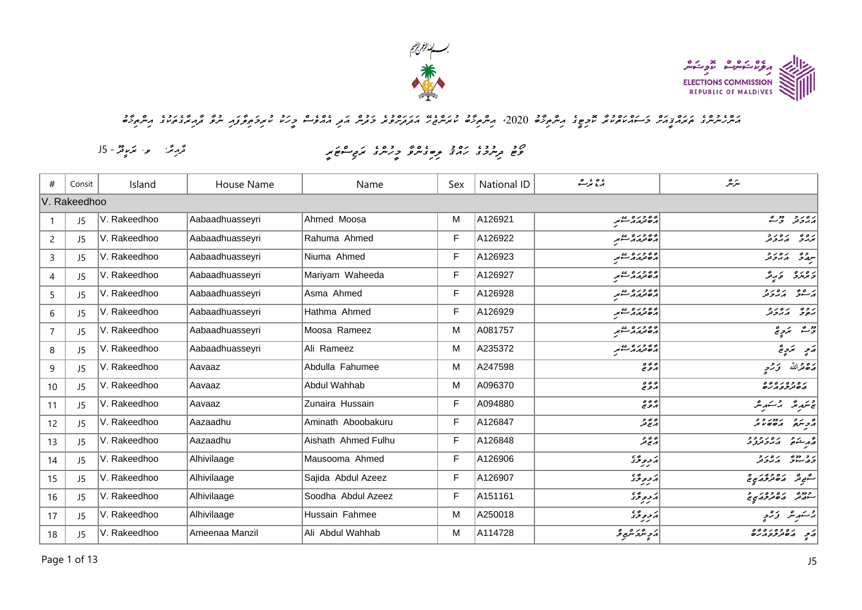



## *q9nOoAw7o<sCq;mAsCn8o<n@n=q7o<m?nBoAm>o8q;q;m5p>wEs=w<s<o@m<w7q@m>s8q=w6m@m@m<t5sKw7m8q;q9nOoAw7o<22020q9nOoAw7o<sCpHo>u;n8q;wAm;w<mEm>w6m<pYw<m8mAsCw7q7s5w7m<*

J5 - *UdIkwr .v n8o<n@ p8mHwEoKm8sCw7q5p>n=w7sCo9oBqYw<m5sCq>q7o@qHv=*

| #              | Consit       | Island       | House Name      | Name                | Sex | National ID | ، ه ، ره<br>د <u>،</u> برگ                  | ىئرىتر                                                        |
|----------------|--------------|--------------|-----------------|---------------------|-----|-------------|---------------------------------------------|---------------------------------------------------------------|
|                | V. Rakeedhoo |              |                 |                     |     |             |                                             |                                                               |
|                | J5           | V. Rakeedhoo | Aabaadhuasseyri | Ahmed Moosa         | М   | A126921     | پر پر در ه پ                                | دو مشر<br>  پر ۱۹ پر د                                        |
| $\overline{2}$ | J5           | V. Rakeedhoo | Aabaadhuasseyri | Rahuma Ahmed        | F   | A126922     | پر دره ۵۰۰<br>مەھىرىرى شىمىر                | ەر جەر ج<br>بروبح                                             |
| 3              | J5           | V. Rakeedhoo | Aabaadhuasseyri | Niuma Ahmed         | F   | A126923     | ر و دره عد                                  | اسرچيځ<br>پروژو                                               |
|                | J5           | V. Rakeedhoo | Aabaadhuasseyri | Mariyam Waheeda     | F   | A126927     | پر پر در ه <u>پ</u> ر<br>مرگ <i>ز د</i> ر ک | ر ه بر ه<br><del>د</del> بر بر ژ<br>ءَ ٻرِ تَرُ               |
| 5              | J5           | V. Rakeedhoo | Aabaadhuasseyri | Asma Ahmed          | F   | A126928     | ا ده وره عب <sub>م</sub>                    | رَ شَرَّ<br>پروژو                                             |
| 6              | J5           | V. Rakeedhoo | Aabaadhuasseyri | Hathma Ahmed        | F   | A126929     | پر پر در ه <u>دی</u><br>مرگ مرد د ک         | ر و ه<br>بره و<br>برور و                                      |
|                | J5           | V. Rakeedhoo | Aabaadhuasseyri | Moosa Rameez        | M   | A081757     | پر پر در ه <u>،،</u><br>د ځنرو کر           | اقرمشه بمزج هم                                                |
| 8              | J5           | V. Rakeedhoo | Aabaadhuasseyri | Ali Rameez          | М   | A235372     | پر پر دره ۵۰<br>د ځې د د د ک                | رَمِي سَرَحٍ جَ                                               |
| 9              | J5           | V. Rakeedhoo | Aavaaz          | Abdulla Fahumee     | м   | A247598     | پر ځای<br>مرغۍ                              | پره قرالله ترترح                                              |
| 10             | J5           | V. Rakeedhoo | Aavaaz          | Abdul Wahhab        | м   | A096370     | پر ده م                                     | ر ٥ <i>٥ ٥ ٥ ٥ ٥</i><br>۵ می <del>ت</del> رمز <i>۶ را ۵ م</i> |
| 11             | J5           | V. Rakeedhoo | Aavaaz          | Zunaira Hussain     | F   | A094880     | پر پر ہ<br>مرگ                              | لتجسكر بثر<br>بر سەمەر بىر                                    |
| 12             | J5           | V. Rakeedhoo | Aazaadhu        | Aminath Aboobakuru  | F   | A126847     | پر بر حر<br>در سی تعر                       | 77777<br> دمحر سرة                                            |
| 13             | J5           | V. Rakeedhoo | Aazaadhu        | Aishath Ahmed Fulhu | F   | A126848     | پر بر حر<br>در سی تعر                       | بره بر و و و<br>پرګر ترو تر<br>لقرمر شدة                      |
| 14             | J5           | V. Rakeedhoo | Alhivilaage     | Mausooma Ahmed      | F   | A126906     | <br> پرېوبونونو                             | ر و دوه<br>وړښتون<br>پر و پر و                                |
| 15             | J5           | V. Rakeedhoo | Alhivilaage     | Sajida Abdul Azeez  | F   | A126907     | بر د ه و د ،<br>مرکز د                      | شوپر مەھەر <i>ى مە</i>                                        |
| 16             | J5           | V. Rakeedhoo | Alhivilaage     | Soodha Abdul Azeez  | F   | A151161     | ړېږو ژو                                     | رود پر<br>  سوړنگر<br>ره وه ر<br>پره ترڅه یې ی                |
| 17             | J5           | V. Rakeedhoo | Alhivilaage     | Hussain Fahmee      | М   | A250018     | ړر و ژُ دُ                                  | 2سىرىش ئۇرمى                                                  |
| 18             | J5           | V. Rakeedhoo | Ameenaa Manzil  | Ali Abdul Wahhab    | М   | A114728     | ړ <sub>ىچ</sub> ئىز ئىشمى پى                | د ده ده ده ده ده<br>  د په ده در دره ده                       |
|                |              |              |                 |                     |     |             |                                             |                                                               |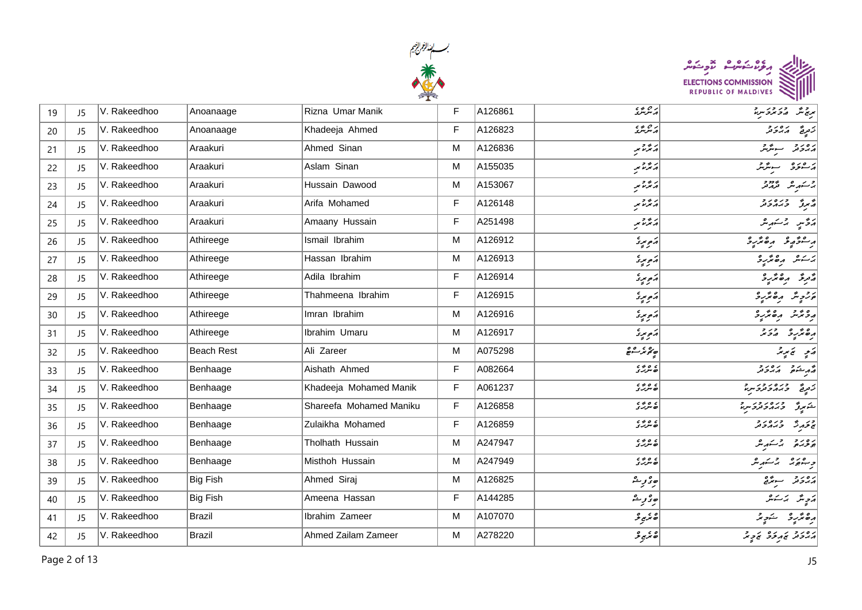



| 19 | J5             | V. Rakeedhoo | Anoanaage         | Rizna Umar Manik        | F  | A126861 | ىر جو پىرى                               | برج نثر المكافحة مرتد                                  |
|----|----------------|--------------|-------------------|-------------------------|----|---------|------------------------------------------|--------------------------------------------------------|
| 20 | J5             | V. Rakeedhoo | Anoanaage         | Khadeeja Ahmed          | F  | A126823 | ىر جويۇ <sub>چ</sub>                     | تزمرقح كمكرور                                          |
| 21 | J <sub>5</sub> | V. Rakeedhoo | Araakuri          | Ahmed Sinan             | M  | A126836 | ر پرتامبر                                | رەرو سەئىر                                             |
| 22 | J5             | V. Rakeedhoo | Araakuri          | Aslam Sinan             | М  | A155035 | رَ پُرْمَ سِ                             | أرَ عَجَرْ وَالْمُسِيرِ                                |
| 23 | J5             | V. Rakeedhoo | Araakuri          | Hussain Dawood          | М  | A153067 | لأنزو                                    | جر کے مرکز میں محمد تر ک                               |
| 24 | J5             | V. Rakeedhoo | Araakuri          | Arifa Mohamed           | F. | A126148 | ر پر د                                   | ړ پرورورو                                              |
| 25 | J5             | V. Rakeedhoo | Araakuri          | Amaany Hussain          | F  | A251498 | لأعمام                                   | ئەۋسى بۇ سىربىر                                        |
| 26 | J5             | V. Rakeedhoo | Athireege         | Ismail Ibrahim          | М  | A126912 | لرَمو مرِيح                              | أرعونمو وعدو                                           |
| 27 | J5             | V. Rakeedhoo | Athireege         | Hassan Ibrahim          | М  | A126913 | لهزموسير                                 | ئەسەش مەھەرد                                           |
| 28 | J5             | V. Rakeedhoo | Athireege         | Adila Ibrahim           | F  | A126914 | لهزموسير                                 | ړٌمردٌ دِ صُدَّرِ دُ                                   |
| 29 | J5             | V. Rakeedhoo | Athireege         | Thahmeena Ibrahim       | F. | A126915 | لرَمو مرِ ئُهِ                           | برە ئۆر ۋ<br>ە ئەرىپە ئىگە                             |
| 30 | J5             | V. Rakeedhoo | Athireege         | Imran Ibrahim           | м  | A126916 | لرَمو مرِ ئُهِ                           | أروبر شه موسيق                                         |
| 31 | J5             | V. Rakeedhoo | Athireege         | Ibrahim Umaru           | м  | A126917 | لهزموسير                                 |                                                        |
| 32 | J5             | V. Rakeedhoo | <b>Beach Rest</b> | Ali Zareer              | М  | A075298 | ھ گھ مرے ہے                              | ړې پرېژ                                                |
| 33 | J5             | V. Rakeedhoo | Benhaage          | Aishath Ahmed           | F  | A082664 | ه و و ء<br>ھىرىرى                        | وكرمشكم وكالروفر                                       |
| 34 | J5             | V. Rakeedhoo | Benhaage          | Khadeeja Mohamed Manik  | F. | A061237 | ې ۵ پرې<br>چ <b>ې</b> ترنې               | ترىرى ئىسكە ئەرەبىر                                    |
| 35 | J5             | V. Rakeedhoo | Benhaage          | Shareefa Mohamed Maniku | F  | A126858 | ې ۵ پرې<br>خ <i>ه مربر</i> <sub>کړ</sub> | كالمحامرة والمتحافرة المرار                            |
| 36 | J5             | V. Rakeedhoo | Benhaage          | Zulaikha Mohamed        | F  | A126859 | ې ه پرې<br>حامرتر <sub>ۍ</sub>           | و رە ر د<br><i>د ب</i> رگرىر<br>چ ئۇ م <sup>ەش</sup> ر |
| 37 | J <sub>5</sub> | V. Rakeedhoo | Benhaage          | Tholhath Hussain        | М  | A247947 | ې ۵ پرې<br>ح <i>امرب</i> ري              | برەرد دىسر                                             |
| 38 | J5             | V. Rakeedhoo | Benhaage          | Misthoh Hussain         | М  | A247949 | ې ه پرې<br>خ <i>ه مرگ</i>                | وجوده برسكريش                                          |
| 39 | J5             | V. Rakeedhoo | <b>Big Fish</b>   | Ahmed Siraj             | м  | A126825 | ھوتور میں                                | برەر ئەسىرتى                                           |
| 40 | J5             | V. Rakeedhoo | <b>Big Fish</b>   | Ameena Hassan           | F. | A144285 | ھ ئۇ پەيشە                               | ړ <sub>چ</sub> ی پرسکر                                 |
| 41 | J5             | V. Rakeedhoo | <b>Brazil</b>     | Ibrahim Zameer          | М  | A107070 | صمر ہو عر                                | رە ئرىر ئىن ئى                                         |
| 42 | J5             | V. Rakeedhoo | <b>Brazil</b>     | Ahmed Zailam Zameer     | M  | A278220 | صمر یبر عمر<br>                          | גפציג התוכל הקיל                                       |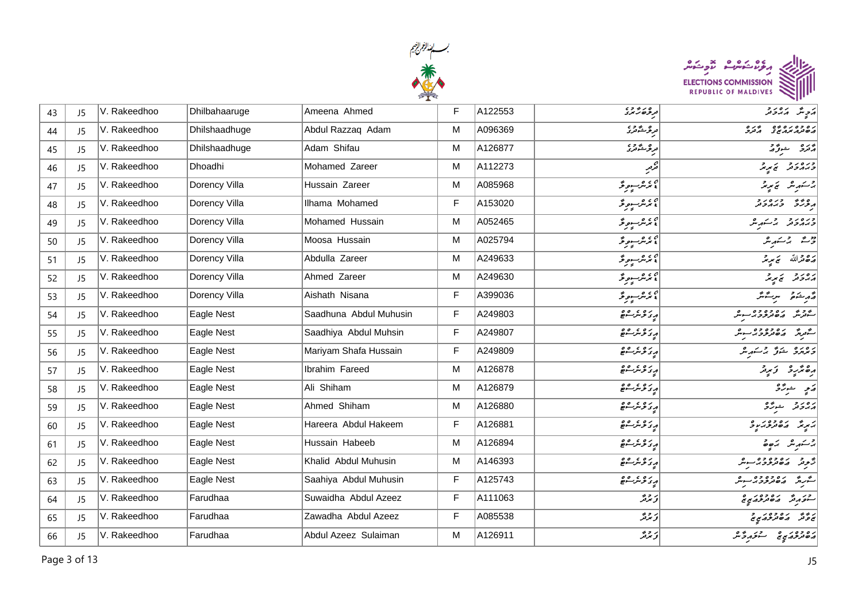



| 43 | J5             | V. Rakeedhoo | Dhilbahaaruge  | Ameena Ahmed           | F  | A122553 | ه در ۶ و ۷<br>درگر <i>ه ر</i> برو   | ړَ په پرورو                                              |
|----|----------------|--------------|----------------|------------------------|----|---------|-------------------------------------|----------------------------------------------------------|
| 44 | J5             | V. Rakeedhoo | Dhilshaadhuge  | Abdul Razzaq Adam      | М  | A096369 | د 9 رگ و <sup>2</sup>               | ر ه و ه ر ه د ه<br>پره تر بر بر بر ن<br>پور ہ<br>پر تعری |
| 45 | J5             | V. Rakeedhoo | Dhilshaadhuge  | Adam Shifau            | м  | A126877 | د 9 مئ <sup>و</sup> 7 دی            | وره جوړه<br>م <i>رود</i> جوړه                            |
| 46 | J5             | V. Rakeedhoo | <b>Dhoadhi</b> | Mohamed Zareer         | М  | A112273 | م<br>تومر                           | دیرہ در دیں ہے                                           |
| 47 | J5             | V. Rakeedhoo | Dorency Villa  | Hussain Zareer         | M  | A085968 | } ئەنگەسى <sub>ۋ</sub> رتىر         | 2سكىرىش ئىمپەنتى                                         |
| 48 | J <sub>5</sub> | V. Rakeedhoo | Dorency Villa  | Ilhama Mohamed         | F. | A153020 | } ئەير مىس <sub>وم</sub> ۇ          | دوره وره دو                                              |
| 49 | J5             | V. Rakeedhoo | Dorency Villa  | Mohamed Hussain        | M  | A052465 | } ئەنگەسى <sub>ۋ</sub> ىر           | ورەرو چەكەش                                              |
| 50 | J5             | V. Rakeedhoo | Dorency Villa  | Moosa Hussain          | М  | A025794 | } ئەنگەسى <sub>ۋ</sub> ر            | وحث برستهريش                                             |
| 51 | J5             | V. Rakeedhoo | Dorency Villa  | Abdulla Zareer         | М  | A249633 | } ئەنگەسىرىدىگە                     | رەقراللە ىم بېرىمە                                       |
| 52 | J5             | V. Rakeedhoo | Dorency Villa  | Ahmed Zareer           | м  | A249630 | } ئەنگەسى <sub>ۋ</sub> رىمىتى<br> } | پرور د کام پر                                            |
| 53 | J5             | V. Rakeedhoo | Dorency Villa  | Aishath Nisana         | F. | A399036 | مجمد شروعة<br>  مجمد شروعة مر       | ە ئەرشكەتى سرىسكىنگر                                     |
| 54 | J5             | V. Rakeedhoo | Eagle Nest     | Saadhuna Abdul Muhusin | F. | A249803 | بر کا وای ده ه                      | ۶۶۵ می ده وه وه بر می<br>  سنترس می می موجود سوس         |
| 55 | J5             | V. Rakeedhoo | Eagle Nest     | Saadhiya Abdul Muhsin  | F. | A249807 | پر و عرب ه                          | شهرش مان ۲۵۶۵۶ مورش                                      |
| 56 | J5             | V. Rakeedhoo | Eagle Nest     | Mariyam Shafa Hussain  | F. | A249809 | ېر ئە ئۇ شەھ                        | كالمرود والمحاكم والمسكر مثل                             |
| 57 | J5             | V. Rakeedhoo | Eagle Nest     | Ibrahim Fareed         | М  | A126878 | پر کو عرب ه ه                       | رە ئرىر ئىرىر                                            |
| 58 | J5             | V. Rakeedhoo | Eagle Nest     | Ali Shiham             | М  | A126879 | پر و عرصو                           | ړې شرگرو                                                 |
| 59 | J5             | V. Rakeedhoo | Eagle Nest     | Ahmed Shiham           | М  | A126880 | پر کا شرک عظ                        | رەرد جرگو                                                |
| 60 | J <sub>5</sub> | V. Rakeedhoo | Eagle Nest     | Hareera Abdul Hakeem   | F. | A126881 | پر ئۇ شرىشى ھ                       | برېر رەزەرە                                              |
| 61 | J5             | V. Rakeedhoo | Eagle Nest     | Hussain Habeeb         | М  | A126894 | پر ئۇ شرىشى ھ                       | جر شهر شه بر سوره                                        |
| 62 | J5             | V. Rakeedhoo | Eagle Nest     | Khalid Abdul Muhusin   | М  | A146393 | پر ئۇ شرىقى ھ                       | تزور رەدەدەر بەر                                         |
| 63 | J5             | V. Rakeedhoo | Eagle Nest     | Saahiya Abdul Muhusin  | F. | A125743 | ويحوشر عمطي                         | گريگر پره ده ده سرگر                                     |
| 64 | J5             | V. Rakeedhoo | Farudhaa       | Suwaidha Abdul Azeez   | F. | A111063 | ر و بر<br>تر برتر                   | - مؤرثه مقد ده ده د م                                    |
| 65 | J5             | V. Rakeedhoo | Farudhaa       | Zawadha Abdul Azeez    | F  | A085538 | ز دیگر                              | ر په ده ده در د<br>ځونر په <i>ه نوه ې</i>                |
| 66 | J5             | V. Rakeedhoo | Farudhaa       | Abdul Azeez Sulaiman   | М  | A126911 | ز دیگر                              | <i>גە دەגې</i> ئەرگە ئىگە                                |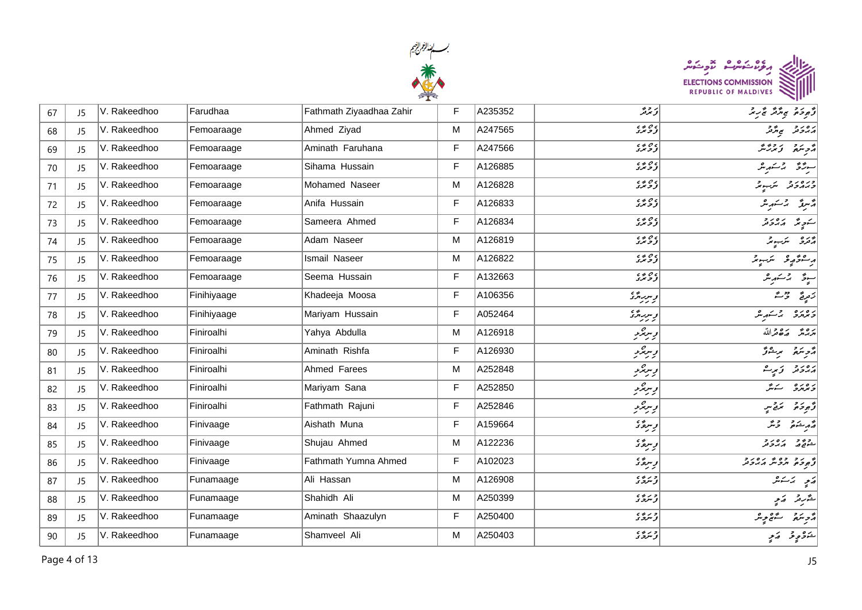



| 67 | J5             | V. Rakeedhoo | Farudhaa    | Fathmath Ziyaadhaa Zahir | F  | A235352 | ر و پژ                                        | توجوحا بمورثته تأريثه                  |
|----|----------------|--------------|-------------|--------------------------|----|---------|-----------------------------------------------|----------------------------------------|
| 68 | J5             | V. Rakeedhoo | Femoaraage  | Ahmed Ziyad              | М  | A247565 | ه <i>۵ ه</i> ه<br>و <del>و</del> بوء          | ג פי ב"ז וביבריק                       |
| 69 | J <sub>5</sub> | V. Rakeedhoo | Femoaraage  | Aminath Faruhana         | F  | A247566 | ې ده پر <sub>ي</sub><br>تر د بنر <sub>ۍ</sub> | أأوبترة وترومي                         |
| 70 | J <sub>5</sub> | V. Rakeedhoo | Femoaraage  | Sihama Hussain           | F  | A126885 | ه ۵ و ه<br>و <del>و</del> بو و                | سرژۇ برخىرىر                           |
| 71 | J5             | V. Rakeedhoo | Femoaraage  | Mohamed Naseer           | М  | A126828 | ړ <i>۵ و</i> ړ<br>تو د بوړ                    | ورەرو ئەبدۇ                            |
| 72 | J5             | V. Rakeedhoo | Femoaraage  | Anifa Hussain            | F. | A126833 | ه ۵ و ه<br>و <del>و</del> بو و                | ۇسىۋە جاسىرىد                          |
| 73 | J <sub>5</sub> | V. Rakeedhoo | Femoaraage  | Sameera Ahmed            | F  | A126834 | ړ ج پر پر<br>تر <del>ت</del> ر تر             | سَوِيدٌ مَدَوَنَد                      |
| 74 | J5             | V. Rakeedhoo | Femoaraage  | Adam Naseer              | М  | A126819 | ه ۵ و ه<br>و <del>و</del> بو و                | ە ئەرە سىر بەر                         |
| 75 | J5             | V. Rakeedhoo | Femoaraage  | Ismail Naseer            | М  | A126822 | ړ ج پر پر<br>تر <del>ت</del> ر تر             | وستوكوفر الترسية                       |
| 76 | J5             | V. Rakeedhoo | Femoaraage  | Seema Hussain            | F  | A132663 | ه ۵ و ه<br>و <del>و</del> بو و                | سىۋە ئەسكىرىتى<br>مە                   |
| 77 | J5             | V. Rakeedhoo | Finihiyaage | Khadeeja Moosa           | F. | A106356 | او مىرىدىگە ؟<br>سىرىر شى                     | تزمرچ وحرث                             |
| 78 | J5             | V. Rakeedhoo | Finihiyaage | Mariyam Hussain          | F. | A052464 | و سربر پژی<br>زیر بر                          | دەرە جەمدىر                            |
| 79 | J5             | V. Rakeedhoo | Finiroalhi  | Yahya Abdulla            | м  | A126918 | وسرچر                                         | مرمرمز مكافرالله                       |
| 80 | J5             | V. Rakeedhoo | Finiroalhi  | Aminath Rishfa           | F. | A126930 | وسرچرو                                        | أأدوبتم بمساور                         |
| 81 | J5             | V. Rakeedhoo | Finiroalhi  | Ahmed Farees             | M  | A252848 | وسرچر                                         | ړه پرو تر تر پر                        |
| 82 | J5             | V. Rakeedhoo | Finiroalhi  | Mariyam Sana             | F  | A252850 | وسرچر                                         | سەتىر<br>ر ه ر ه<br><del>د</del> بربرد |
| 83 | J5             | V. Rakeedhoo | Finiroalhi  | Fathmath Rajuni          | F  | A252846 | وسرچر                                         | ر جو د تر تر چاپ پر                    |
| 84 | J5             | V. Rakeedhoo | Finivaage   | Aishath Muna             | F  | A159664 | و سرچ ی                                       | أقهر يشوقوا الحاشر                     |
| 85 | J <sub>5</sub> | V. Rakeedhoo | Finivaage   | Shujau Ahmed             | М  | A122236 | و سرچ ی                                       | شوه ده دورو                            |
| 86 | J5             | V. Rakeedhoo | Finivaage   | Fathmath Yumna Ahmed     | F  | A102023 | وسرچري                                        | و در دوه ده ده در                      |
| 87 | J5             | V. Rakeedhoo | Funamaage   | Ali Hassan               | м  | A126908 | ۇ ئىرگە ئ                                     | پر پر بر بر بر بر                      |
| 88 | J5             | V. Rakeedhoo | Funamaage   | Shahidh Ali              | М  | A250399 | و پر پر پر<br>توسرپر <sub>تو</sub>            | ڪرير ڏيو                               |
| 89 | J5             | V. Rakeedhoo | Funamaage   | Aminath Shaazulyn        | F  | A250400 | و پر پر پر<br>توسرپر <sub>تو</sub>            | ۇ ئىر ئىق ئىق ئە                       |
| 90 | J5             | V. Rakeedhoo | Funamaage   | Shamveel Ali             | M  | A250403 | و پرېږي<br>توسرچ <sub>ک</sub>                 | شكوه في الكاملي                        |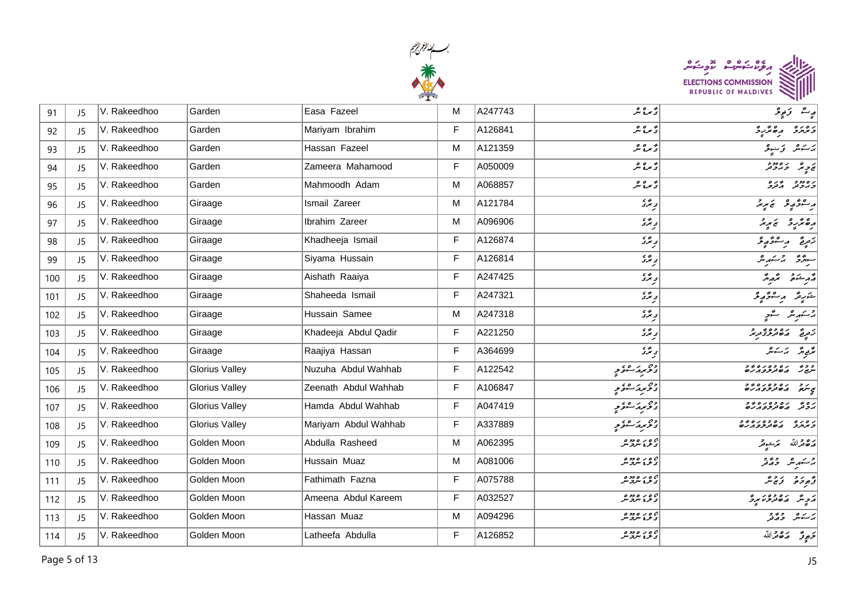



| J5  | V. Rakeedhoo | Garden                | Easa Fazeel          | м  | A247743 | پە يەھ<br>ئەسمەي مىش                 | ديد تراويده                                               |
|-----|--------------|-----------------------|----------------------|----|---------|--------------------------------------|-----------------------------------------------------------|
| J5. | V. Rakeedhoo | Garden                | Mariyam Ibrahim      | F  | A126841 | پە يەھ<br>ئەسمەي مىش                 | ويمهزه بره يزرد                                           |
| J5  | V. Rakeedhoo | Garden                | Hassan Fazeel        | M  | A121359 | پە يەھ<br>ئەسمەن <b>چ</b> ىش         | يُرْسَمْنُ - تَوْسِيطُ                                    |
| J5  | V. Rakeedhoo | Garden                | Zameera Mahamood     | F  | A050009 | پە يەھ<br>ئەسمەي مىش                 | ړ په ده ده ده د                                           |
| J5  | V. Rakeedhoo | Garden                | Mahmoodh Adam        | M  | A068857 | پە يەم مىر<br>ئەسمە مىر              | ر ه دو و په ده<br>تر برتر گرفرتر                          |
| J5  | V. Rakeedhoo | Giraage               | Ismail Zareer        | M  | A121784 | ء مر<br>مرم                          | رېشۇرغۇ ئەيد                                              |
| J5  | V. Rakeedhoo | Giraage               | Ibrahim Zareer       | м  | A096906 | ء مر<br>ء مرد                        | رە ئرىر ئىرىز                                             |
| J5  | V. Rakeedhoo | Giraage               | Khadheeja Ismail     | F  | A126874 | ء مر<br>مرم                          | زَىرٍةً پرِ الْمُؤْثَرٍ وَ                                |
| J5  | V. Rakeedhoo | Giraage               | Siyama Hussain       | F  | A126814 | ىچە تە                               | سورگر جي شکر بنگر                                         |
| J5  | V. Rakeedhoo | Giraage               | Aishath Raaiya       | F  | A247425 | و عرد<br>مرمگری                      | وكركو المركز                                              |
| J5  | V. Rakeedhoo | Giraage               | Shaheeda Ismail      | F  | A247321 | ء مر<br>مرمگری                       | خنړينې پرگونځوړنځ                                         |
| J5  | V. Rakeedhoo | Giraage               | Hussain Samee        | M  | A247318 | ء مر<br>مرم                          | ير سەر بىر سەھىي                                          |
| J5  | V. Rakeedhoo | Giraage               | Khadeeja Abdul Qadir | F  | A221250 | ء پڻري<br>مر                         | زَمِرِيَّ مَ‰مَرْدُوَّمْرِيْر                             |
| J5. | V. Rakeedhoo | Giraage               | Raajiya Hassan       | F. | A364699 | ء مو<br>ي                            | تروپۇ ئەسەش                                               |
| J5  | V. Rakeedhoo | <b>Glorius Valley</b> | Nuzuha Abdul Wahhab  | F  | A122542 | دهم پر مشور موجد<br>  د څېرم مشور مخ | و و ۵ مره وه ده و و<br>سرچ ر هر هنر و هر رحه              |
| J5  | V. Rakeedhoo | <b>Glorius Valley</b> | Zeenath Abdul Wahhab | F  | A106847 | دە بەر ئەھ<br>ئەخرىرە ئەھرىپ         | سي سر د د د د د د د <del>د</del><br>سي سره د ماند د د د ه |
| J5  | V. Rakeedhoo | <b>Glorius Valley</b> | Hamda Abdul Wahhab   | F  | A047419 | دە بېرىز شوېچە                       | ره ده ده ده ده دو<br>بروتر مان تو در مان                  |
| J5  | V. Rakeedhoo | <b>Glorius Valley</b> | Mariyam Abdul Wahhab | F  | A337889 | دە بەر ئەھمۇم <sub>ۇ</sub>           | ر ہ رہ دے وہ رہ ہو۔<br>حرمرح مضر خرومرے                   |
| J5  | V. Rakeedhoo | Golden Moon           | Abdulla Rasheed      | M  | A062395 | ہ ور ورد و<br>تح <b>ی شر</b> ح ش     | رەقەللە ئىشوتر                                            |
| J5  | V. Rakeedhoo | Golden Moon           | Hussain Muaz         | M  | A081006 | ہ و ر ودد و<br>د نو : سرچ س          | جر مسر معرض المحرور المحمد                                |
| J5. | V. Rakeedhoo | Golden Moon           | Fathimath Fazna      | F  | A075788 | ہ ور ورد و<br>تح <b>ی شر</b> ح ش     | ڙوڌو تقڻ                                                  |
| J5  | V. Rakeedhoo | Golden Moon           | Ameena Abdul Kareem  | F  | A032527 | ہ و ر ودد و<br>د نو پارلاس           | הכְייָ הַסְּיִּתְכִיתְ                                    |
| J5  | V. Rakeedhoo | Golden Moon           | Hassan Muaz          | M  | A094296 | ہ و ر ودد و<br>د نوع سرچ س           | ير کے مرکز ورکانور                                        |
| J5  | V. Rakeedhoo | Golden Moon           | Latheefa Abdulla     | F  | A126852 | ہ و ر ودد و<br>د نو : سرچ س          | حَجِيرٌ صَصْحَراللّه                                      |
|     |              |                       |                      |    |         |                                      |                                                           |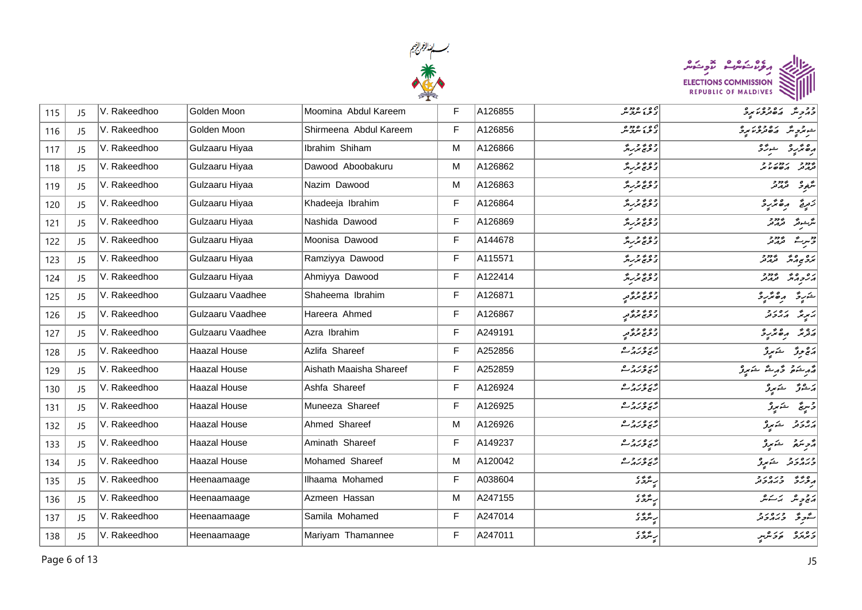



| 115 | J5             | V. Rakeedhoo | Golden Moon      | Moomina Abdul Kareem    | F  | A126855 | ہ ور ودد و<br>تح <b>رہ</b> سرچ س                                                                                            | ودونتر المقترفر المرو                                             |
|-----|----------------|--------------|------------------|-------------------------|----|---------|-----------------------------------------------------------------------------------------------------------------------------|-------------------------------------------------------------------|
| 116 | J5             | V. Rakeedhoo | Golden Moon      | Shirmeena Abdul Kareem  | F  | A126856 | ہ ور ودو و<br>د مرد شر                                                                                                      | شونر حرم مره ده در مورد<br>مشونر حرم المستقر براسمبر              |
| 117 | J5             | V. Rakeedhoo | Gulzaaru Hiyaa   | Ibrahim Shiham          | м  | A126866 | د و پر بر برگر<br><sub>ک</sub> اخری مرکبر مر                                                                                | رە ئرىر ئىن                                                       |
| 118 | J <sub>5</sub> | V. Rakeedhoo | Gulzaaru Hiyaa   | Dawood Aboobakuru       | М  | A126862 | دە بە جەر بۇ<br>ئەخرىج ئىرىرىگە                                                                                             | כככ גברג ככ<br>בקג בק השישי ה                                     |
| 119 | J <sub>5</sub> | V. Rakeedhoo | Gulzaaru Hiyaa   | Nazim Dawood            | м  | A126863 | د ه و د برگر<br>د څرنگه تر برگر                                                                                             | سَّمْحِ وَمَعْدَمَّةٍ وَمَعْدَمَّةٍ وَمَعْدَ                      |
| 120 | J5             | V. Rakeedhoo | Gulzaaru Hiyaa   | Khadeeja Ibrahim        | F  | A126864 | د وه پرځ تر پر                                                                                                              | ذَمرِيَّ , وَهُ يُرْرِدُ                                          |
| 121 | J5             | V. Rakeedhoo | Gulzaaru Hiyaa   | Nashida Dawood          | F  | A126869 | د ه و د برگر<br>د څرنگه تر برگر                                                                                             | ش <i>رْڪونرُ</i><br>سُرُڪونرُ<br>پر وو و<br>تو <sub>م</sub> اژ تو |
| 122 | J5             | V. Rakeedhoo | Gulzaaru Hiyaa   | Moonisa Dawood          | F  | A144678 | و و پر بر<br>د څري تر به تر                                                                                                 | پر دو و.<br>تر <i>هر</i> تر<br>وج <sub>سرست</sub> گر<br>مر        |
| 123 | J5             | V. Rakeedhoo | Gulzaaru Hiyaa   | Ramziyya Dawood         | F  | A115571 | د وه پرځ برگر                                                                                                               | برؤبرهر<br>پر وو و<br>تو <sub>م</sub> هر تو                       |
| 124 | J <sub>5</sub> | V. Rakeedhoo | Gulzaaru Hiyaa   | Ahmiyya Dawood          | F. | A122414 | د و پر بر برگر<br><sub>ک</sub> اخری مرکبر مر                                                                                | يرودونژ<br>پر دو و<br>تورهر تور                                   |
| 125 | J5             | V. Rakeedhoo | Gulzaaru Vaadhee | Shaheema Ibrahim        | F  | A126871 | د و و پر د و پر                                                                                                             | خنړیڅ رهنگری                                                      |
| 126 | J5             | V. Rakeedhoo | Gulzaaru Vaadhee | Hareera Ahmed           | F  | A126867 | و ه پر چوکړ<br>د څرنگ مرگومړ                                                                                                | يە ئەرەبە                                                         |
| 127 | J5             | V. Rakeedhoo | Gulzaaru Vaadhee | Azra Ibrahim            | F  | A249191 | وه پر چوتو په کليمونه د کليمونه په کليمونه د کليمونه کليمونه کليمونه کليمونه کليمونه کليمونه کليمونه کليمونه ک<br>د کليمونه | ړو په ده تر د                                                     |
| 128 | J5             | V. Rakeedhoo | Haazal House     | Azlifa Shareef          | F  | A252856 | پەرە روپە<br><i>رى بۇ ر</i> ەك                                                                                              | ړ چوژ خپرژ                                                        |
| 129 | J5             | V. Rakeedhoo | Haazal House     | Aishath Maaisha Shareef | F  | A252859 | پەرە روپە<br><i>رى بۇ ر</i> ەك                                                                                              | وُرِحَمَ وُرِحْ حَبِرِوْ                                          |
| 130 | J5             | V. Rakeedhoo | Haazal House     | Ashfa Shareef           | F  | A126924 | پەر ەر دەپ                                                                                                                  | ىزىشۇ شەيرۇ                                                       |
| 131 | J5             | V. Rakeedhoo | Haazal House     | Muneeza Shareef         | F  | A126925 | پەر ەر دەپ                                                                                                                  | دڙسيءَ خسيرو                                                      |
| 132 | J5             | V. Rakeedhoo | Haazal House     | Ahmed Shareef           | м  | A126926 | پەر ەر دەپ                                                                                                                  | پرەرو شەيرۇ                                                       |
| 133 | J <sub>5</sub> | V. Rakeedhoo | Haazal House     | Aminath Shareef         | F  | A149237 | پەرە روپە<br><i>رى بۇ ر</i> ەك                                                                                              | م <sup>و</sup> جر سکھ شکھرو                                       |
| 134 | J <sub>5</sub> | V. Rakeedhoo | Haazal House     | Mohamed Shareef         | м  | A120042 | پەر ەر دې<br>رىج بۇرۇر                                                                                                      | ورەر ئىكەرگە                                                      |
| 135 | J5             | V. Rakeedhoo | Heenaamaage      | Ilhaama Mohamed         | F. | A038604 | ر پژو <sup>ي</sup>                                                                                                          | بروژی وره دو                                                      |
| 136 | J5             | V. Rakeedhoo | Heenaamaage      | Azmeen Hassan           | м  | A247155 | ر پژو <sup>ي</sup>                                                                                                          | كالمجاج للاركاش                                                   |
| 137 | J5             | V. Rakeedhoo | Heenaamaage      | Samila Mohamed          | F  | A247014 | ر پژو <sup>ي</sup>                                                                                                          | و رە ر د<br>تر پروتر<br>سەرقە                                     |
| 138 | J5             | V. Rakeedhoo | Heenaamaage      | Mariyam Thamannee       | F  | A247011 | ر پژو <sup>ي</sup>                                                                                                          | ويروده والمركبير                                                  |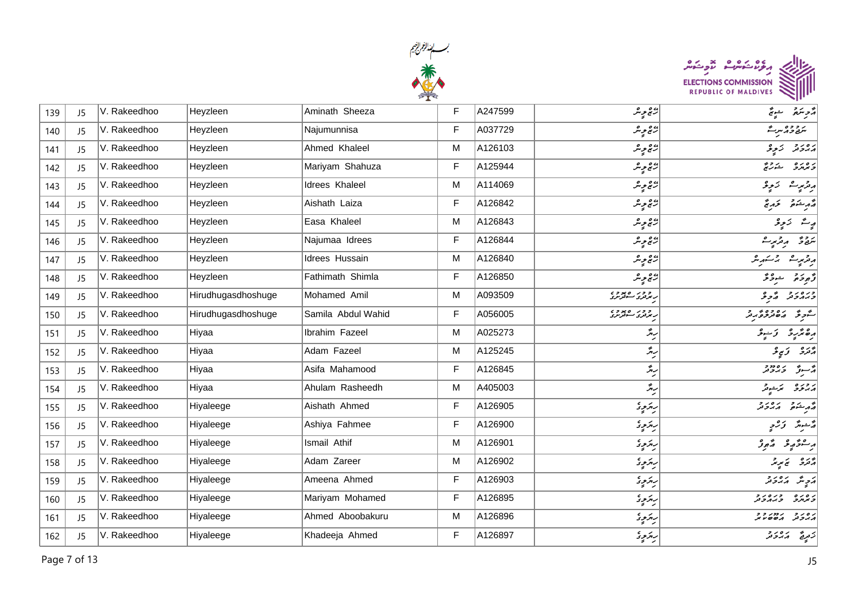



| 139 | J5 | V. Rakeedhoo | Heyzleen           | Aminath Sheeza     | F. | A247599 | يەھ بېرىتر                         | ترجه شرحه<br>سنويج                                     |
|-----|----|--------------|--------------------|--------------------|----|---------|------------------------------------|--------------------------------------------------------|
| 140 | J5 | V. Rakeedhoo | Heyzleen           | Najumunnisa        | F  | A037729 | رجم پر پر                          | ىرد دە بىرىگە                                          |
| 141 | J5 | V. Rakeedhoo | Heyzleen           | Ahmed Khaleel      | M  | A126103 | شع مویتر                           | تزوٍوٌ<br>  پر ۱۹ پر د                                 |
| 142 | J5 | V. Rakeedhoo | Heyzleen           | Mariyam Shahuza    | F  | A125944 | رجم په پر                          | ر ه بر ه<br><del>د</del> بربرگر<br>شەرجىچ              |
| 143 | J5 | V. Rakeedhoo | Heyzleen           | Idrees Khaleel     | М  | A114069 | شع مویتر                           | پر تر پر پر تر پر تر پر تر پر تر ا                     |
| 144 | J5 | V. Rakeedhoo | Heyzleen           | Aishath Laiza      | F  | A126842 | رجم پر مر                          | پھر مشدھ<br>م<br>ځه ځ                                  |
| 145 | J5 | V. Rakeedhoo | Heyzleen           | Easa Khaleel       | М  | A126843 | رجم پر پر                          | پرئش - ڈرچونژ                                          |
| 146 | J5 | V. Rakeedhoo | Heyzleen           | Najumaa Idrees     | F  | A126844 | رجم محب مثر                        | ىر قرىبە <sup>م</sup><br>ىر 3 ج.<br>سرچ <sub>ە</sub> 5 |
| 147 | J5 | V. Rakeedhoo | Heyzleen           | Idrees Hussain     | М  | A126840 | يىم پەر<br>سىم پەر                 | جر <u>س</u> ے م <i>ہ</i> بنگر<br>ېر پېړىد<br>سرچينې    |
| 148 | J5 | V. Rakeedhoo | Heyzleen           | Fathimath Shimla   | F  | A126850 | ئەج مەيىر                          | حور محر<br>مر<br>  د څو څه                             |
| 149 | J5 | V. Rakeedhoo | Hirudhugasdhoshuge | Mohamed Amil       | M  | A093509 |                                    | وحجي فحر<br>و ر ه ر و<br>تر پر ژ تر                    |
| 150 | J5 | V. Rakeedhoo | Hirudhugasdhoshuge | Samila Abdul Wahid | F  | A056005 | و و د ر ه پو و د<br>ر بوتوی سوتوری | شوق پەھىروق بەر                                        |
| 151 | J5 | V. Rakeedhoo | Hiyaa              | Ibrahim Fazeel     | М  | A025273 | رپڙ<br>$\overline{\phantom{a}}$    | أرەنزىر زىندۇ                                          |
| 152 | J5 | V. Rakeedhoo | Hiyaa              | Adam Fazeel        | М  | A125245 | رېژ                                | پژنرو تریپو ه                                          |
| 153 | J5 | V. Rakeedhoo | Hiyaa              | Asifa Mahamood     | F  | A126845 | رِيْر                              | ر ه دو و<br>تر بر تر تر<br>  پیسویژ                    |
| 154 | J5 | V. Rakeedhoo | Hiyaa              | Ahulam Rasheedh    | М  | A405003 | رپڙ                                | روره برشور                                             |
| 155 | J5 | V. Rakeedhoo | Hiyaleege          | Aishath Ahmed      | F  | A126905 | رېزىيى                             | پرور و<br>وحمر يئسمو                                   |
| 156 | J5 | V. Rakeedhoo | Hiyaleege          | Ashiya Fahmee      | F  | A126900 | رېز <sub>مونه</sub>                | پژڪونژ ترکردي                                          |
| 157 | J5 | V. Rakeedhoo | Hiyaleege          | Ismail Athif       | М  | A126901 | رېزونه                             | أرجع فيموقر                                            |
| 158 | J5 | V. Rakeedhoo | Hiyaleege          | Adam Zareer        | М  | A126902 | رېزىپە <sup>ي</sup>                | مُرْمَرْدَ لَمَ يَرِيمُ                                |
| 159 | J5 | V. Rakeedhoo | Hiyaleege          | Ameena Ahmed       | F  | A126903 | رېزونه                             | مَعٍ سَرَّ مَ مَدَّد مَد                               |
| 160 | J5 | V. Rakeedhoo | Hiyaleege          | Mariyam Mohamed    | F  | A126895 | رېزىيى                             | و رە ر د<br>تر پروتر<br>ر ه بر ه<br><del>د</del> بربرد |
| 161 | J5 | V. Rakeedhoo | Hiyaleege          | Ahmed Aboobakuru   | М  | A126896 | رېزونه                             | پروژو<br>77/27/                                        |
| 162 | J5 | V. Rakeedhoo | Hiyaleege          | Khadeeja Ahmed     | F  | A126897 | رېزىيى                             | زَمِرِةٌ 1.25%                                         |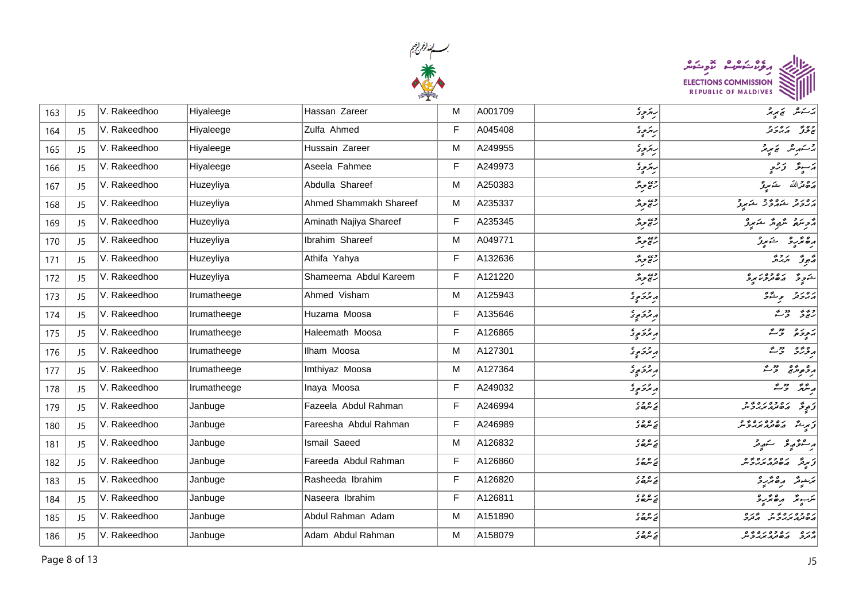



| 163 | J5             | V. Rakeedhoo | Hiyaleege   | Hassan Zareer          | М  | A001709 | رېزىي                         | يُرْسَمْشُ الْمَجْمَعِيمُ                          |
|-----|----------------|--------------|-------------|------------------------|----|---------|-------------------------------|----------------------------------------------------|
| 164 | J5             | V. Rakeedhoo | Hiyaleege   | Zulfa Ahmed            | F  | A045408 | رېزىي                         | وه ده دورو<br>بحنوتی اربر و تر                     |
| 165 | J5             | V. Rakeedhoo | Hiyaleege   | Hussain Zareer         | М  | A249955 | رېزىپە<br>بە                  | يرسكونكر المجامية                                  |
| 166 | J5             | V. Rakeedhoo | Hiyaleege   | Aseela Fahmee          | F. | A249973 | رېزىي                         | كەسپىق ئۇرقىي                                      |
| 167 | J5             | V. Rakeedhoo | Huzeyliya   | Abdulla Shareef        | M  | A250383 | دی <sub>مرت</sub> ر<br>رسم م  | برە قراللە شەم <u>ر</u> و                          |
| 168 | J5             | V. Rakeedhoo | Huzeyliya   | Ahmed Shammakh Shareef | M  | A235337 | ریم مریز                      | رەر ئەرەر ئەرەر                                    |
| 169 | J <sub>5</sub> | V. Rakeedhoo | Huzeyliya   | Aminath Najiya Shareef | F. | A235345 | دی <sub>م</sub> ورد<br>رسم م  | أُمُّرْ سَرَةٌ سُّمَّةٍ مُّذَ يَدَ يَرُدُّ         |
| 170 | J5             | V. Rakeedhoo | Huzeyliya   | Ibrahim Shareef        | М  | A049771 | [دیم عروش                     | رە ئەر ئىسى                                        |
| 171 | J5             | V. Rakeedhoo | Huzeyliya   | Athifa Yahya           | F. | A132636 | دی بردگر<br>رسم بردگر         | ړېږ درېر                                           |
| 172 | J5             | V. Rakeedhoo | Huzeyliya   | Shameema Abdul Kareem  | F. | A121220 | ریم مروژ                      | شوچۇ ھەمز جىم بور                                  |
| 173 | J5             | V. Rakeedhoo | Irumatheege | Ahmed Visham           | М  | A125943 | وبترخيمونه                    | برەرد ويقو                                         |
| 174 | J5             | V. Rakeedhoo | Irumatheege | Huzama Moosa           | F. | A135646 | وبترخيمونه                    | ریږ در                                             |
| 175 | J5             | V. Rakeedhoo | Irumatheege | Haleemath Moosa        | F  | A126865 | وبرځمو ځ                      | ديسته<br>برَوِدَهْ                                 |
| 176 | J5             | V. Rakeedhoo | Irumatheege | Ilham Moosa            | М  | A127301 | وبترخيمونه                    | ەر ئەرمە ئەستە<br>ئە                               |
| 177 | J5             | V. Rakeedhoo | Irumatheege | Imthiyaz Moosa         | М  | A127364 | <br>  پر ټرنې پو ئه           | ەر ۋ <sub>ە ت</sub> ۈرى<br>ب<br>وسته               |
| 178 | J5             | V. Rakeedhoo | Irumatheege | Inaya Moosa            | F  | A249032 | ېر تر دې<br>بر تر دې          | پر پڻ جو ش                                         |
| 179 | J5             | V. Rakeedhoo | Janbuge     | Fazeela Abdul Rahman   | F  | A246994 | پر 2 2 ي<br>تع سر <i>هه ي</i> | كرنمو من من ده ده و حد                             |
| 180 | J5             | V. Rakeedhoo | Janbuge     | Fareesha Abdul Rahman  | F  | A246989 | پر 2 2 ي<br>تع سر <i>هه ي</i> | ره وه ره د و<br>پره تربر تر س<br>تر مړيند          |
| 181 | J5             | V. Rakeedhoo | Janbuge     | Ismail Saeed           | м  | A126832 | پر 2 2 ي<br>تع سر <i>هه ي</i> | برحۇپە ئەيە                                        |
| 182 | J5             | V. Rakeedhoo | Janbuge     | Fareeda Abdul Rahman   | F. | A126860 | پر 2 2 ي<br>تع سر <i>هه ي</i> | تر پرش پره ده بره د مر                             |
| 183 | J5             | V. Rakeedhoo | Janbuge     | Rasheeda Ibrahim       | F. | A126820 | ر ه د ه<br>قع سر <i>ه د</i>   | يَرْسُوتَرُ بِهِ صَمَّرُ بِرْدَ                    |
| 184 | J5             | V. Rakeedhoo | Janbuge     | Naseera Ibrahim        | F. | A126811 | ر ه د ه<br>قع سر <i>ه د</i>   | ىئەببەش رەھترىرى                                   |
| 185 | J5             | V. Rakeedhoo | Janbuge     | Abdul Rahman Adam      | M  | A151890 | پر 2 2 ي<br>تع سر <i>هه ي</i> | גם כם גם כי כי ביגם<br>השי <i>כות הגיב</i> ית הנקב |
| 186 | J5             | V. Rakeedhoo | Janbuge     | Adam Abdul Rahman      | M  | A158079 | ر ه د ه<br>قع سر <i>ه د</i>   | وره ره ده ده وه.<br>منرچ مقترم برمرض               |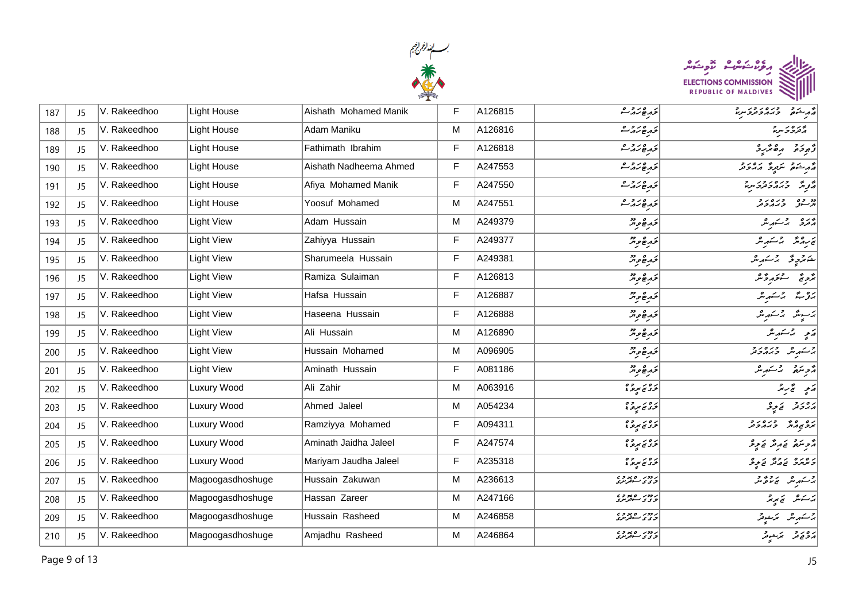



| 187 | J5             | V. Rakeedhoo | Light House        | Aishath Mohamed Manik  | F | A126815 | خەر ھەر ئەشە                          | 2 ג 2 ג 2 ג 2 ג<br>3 ג ג 3 ב تور س<br>ومجمر مشكوته |
|-----|----------------|--------------|--------------------|------------------------|---|---------|---------------------------------------|----------------------------------------------------|
| 188 | J5             | V. Rakeedhoo | Light House        | Adam Maniku            | М | A126816 | خەر ھەر جە ھ                          | و ده د سره                                         |
| 189 | J5             | V. Rakeedhoo | Light House        | Fathimath Ibrahim      | F | A126818 | خەرقە ئەرمىسى                         | ژوځو ره ژبړ                                        |
| 190 | J5             | V. Rakeedhoo | Light House        | Aishath Nadheema Ahmed | F | A247553 | خەرەر ئە                              | وأرشكتم الكبرة الكادرة                             |
| 191 | J5             | V. Rakeedhoo | Light House        | Afiya Mohamed Manik    | F | A247550 | خەرەر ئە                              | הצה כנסנכתבת                                       |
| 192 | J5             | V. Rakeedhoo | <b>Light House</b> | Yoosuf Mohamed         | M | A247551 | ىخەر <u>غۇ</u> ئەرمىيە                | מ כם כנסיק<br>ת—נצ                                 |
| 193 | J5             | V. Rakeedhoo | <b>Light View</b>  | Adam Hussain           | М | A249379 | خرموهو دو                             | ەرە جەسەر ش                                        |
| 194 | J5             | V. Rakeedhoo | <b>Light View</b>  | Zahiyya Hussain        | F | A249377 | ځه هڅ و د                             | لى بەر ئەسىر ئەسىر                                 |
| 195 | J <sub>5</sub> | V. Rakeedhoo | <b>Light View</b>  | Sharumeela Hussain     | F | A249381 | ځه هڅ و پر                            | شەرەپ ئەسىر                                        |
| 196 | J <sub>5</sub> | V. Rakeedhoo | Light View         | Ramiza Sulaiman        | F | A126813 | ځه هڅ و پژ                            | تردة كشخيرة تكر                                    |
| 197 | J5             | V. Rakeedhoo | Light View         | Hafsa Hussain          | F | A126887 | ځه هڅ ورد                             | بروث برستهرش                                       |
| 198 | J5             | V. Rakeedhoo | <b>Light View</b>  | Haseena Hussain        | F | A126888 | ځه هڅ و د                             | يزىياش الرىستىرىش                                  |
| 199 | J <sub>5</sub> | V. Rakeedhoo | <b>Light View</b>  | Ali Hussain            | М | A126890 | ځه هڅ و پر                            | أەيب برجستهرینگ                                    |
| 200 | J5             | V. Rakeedhoo | <b>Light View</b>  | Hussain Mohamed        | М | A096905 | خرموهو دو                             | ير مسكور المراد و در د                             |
| 201 | J5             | V. Rakeedhoo | <b>Light View</b>  | Aminath Hussain        | F | A081186 | ا ئۇرمۇھ ب <sup>ەد</sup>              | أقرجتم فيستهبش                                     |
| 202 | J5             | V. Rakeedhoo | Luxury Wood        | Ali Zahir              | М | A063916 | لجره بر سرح و                         | ړې تمريز                                           |
| 203 | J5             | V. Rakeedhoo | Luxury Wood        | Ahmed Jaleel           | М | A054234 | تره نړ پره ؟                          | برور تي پاڻي                                       |
| 204 | J5             | V. Rakeedhoo | Luxury Wood        | Ramziyya Mohamed       | F | A094311 | كخرى مروح                             | גם סוף כגוסגב<br>הבתואות בגורבת                    |
| 205 | J5             | V. Rakeedhoo | Luxury Wood        | Aminath Jaidha Jaleel  | F | A247574 | كخرى مروح                             | أثرم يترة في وقر في ويحر                           |
| 206 | J5             | V. Rakeedhoo | Luxury Wood        | Mariyam Jaudha Jaleel  | F | A235318 | لزه بر پره ؟                          | ב מחבר המילי הליביב                                |
| 207 | J5             | V. Rakeedhoo | Magoogasdhoshuge   | Hussain Zakuwan        | М | A236613 | ر دوبر ۱۵ پو و پر<br>تر ی ی کستوفرمزی | برستنه بكر المتحاشر                                |
| 208 | J5             | V. Rakeedhoo | Magoogasdhoshuge   | Hassan Zareer          | M | A247166 | ر دور ۱۵ پو و د<br>تر د کار سوفرمرد   | ىرىكىش ئەيرىم                                      |
| 209 | J5             | V. Rakeedhoo | Magoogasdhoshuge   | Hussain Rasheed        | М | A246858 | ر دور رہ پر و ء<br>5 ی ی سستمبر       | 2سكىرىنىڭ مۇسىيەتى                                 |
| 210 | J5             | V. Rakeedhoo | Magoogasdhoshuge   | Amjadhu Rasheed        | М | A246864 | ر دوبر ۱۵ پر و ع<br>تر ی ی سسوفرمری   | رەرو ئەيدۇر<br>مەدىر                               |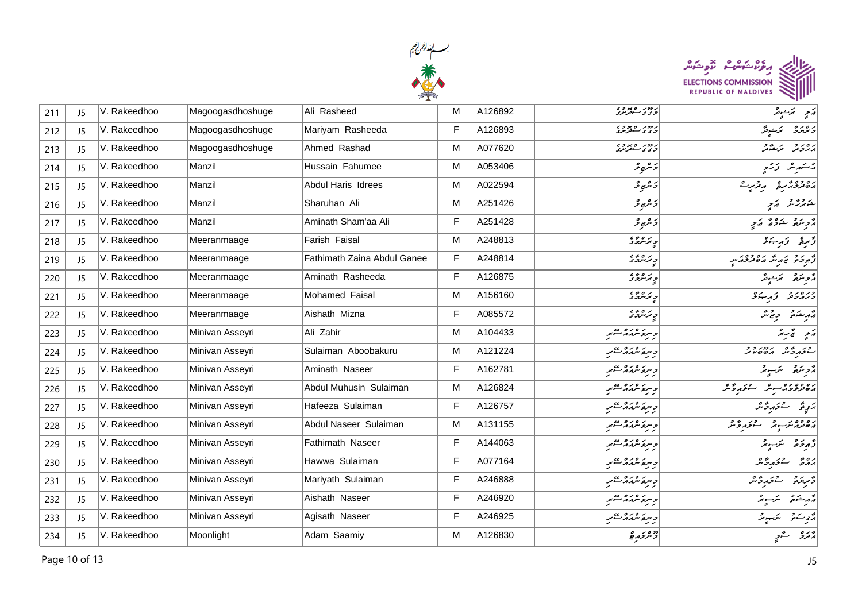



| 211 | J5             | V. Rakeedhoo | Magoogasdhoshuge | Ali Rasheed                 | М  | A126892 | ر دور _ ے پر و ی<br>حرمی کسونسرمری             | ر<br>كەنچە ئىكرىش <sub>ۇ</sub> لار |
|-----|----------------|--------------|------------------|-----------------------------|----|---------|------------------------------------------------|------------------------------------|
| 212 | J <sub>5</sub> | V. Rakeedhoo | Magoogasdhoshuge | Mariyam Rasheeda            | F. | A126893 | ر دور _ ه پو و د<br>ح ی ی سوتوری               | رەرە بەيدۇر                        |
| 213 | J5             | V. Rakeedhoo | Magoogasdhoshuge | Ahmed Rashad                | М  | A077620 | ر دوبر ۱۵ پر و د<br>تر ی ی کستونرنوی           | رەر دىكەر                          |
| 214 | J5             | V. Rakeedhoo | Manzil           | Hussain Fahumee             | М  | A053406 | دَ عربو عه                                     | برحسر تررمي                        |
| 215 | J5             | V. Rakeedhoo | Manzil           | Abdul Haris Idrees          | М  | A022594 | ئەشرىر بۇ                                      | ړه دور برو روبرے                   |
| 216 | J5             | V. Rakeedhoo | Manzil           | Sharuhan Ali                | M  | A251426 | ئەشرىر پۇ                                      | المتوراث الأمي                     |
| 217 | J5             | V. Rakeedhoo | Manzil           | Aminath Sham'aa Ali         | F  | A251428 | 5 يرىم يۇ                                      | أأوبتم المحاواة أأوا               |
| 218 | J5             | V. Rakeedhoo | Meeranmaage      | Farish Faisal               | М  | A248813 | ى <i>ي ئىر ئىرگى</i> ئى                        | وتمرة وكباندى                      |
| 219 | J5             | V. Rakeedhoo | Meeranmaage      | Fathimath Zaina Abdul Ganee | F. | A248814 | ىي ئىر <i>ھەمج</i> ئ                           | و موجه نم مره مصر دو دور           |
| 220 | J5             | V. Rakeedhoo | Meeranmaage      | Aminath Rasheeda            | F. | A126875 | لىر ئەرەپ ئە<br>سىر ئىرى <i>گە</i> ئ           | أأدوبتهم التمشيش                   |
| 221 | J5             | V. Rakeedhoo | Meeranmaage      | Mohamed Faisal              | М  | A156160 | ج پر ۵ پر ی                                    | ورەرو ۋەبىر                        |
| 222 | J5             | V. Rakeedhoo | Meeranmaage      | Aishath Mizna               | F. | A085572 | ج ټر شرچ ی                                     | وكرمشكم وتحاشر                     |
| 223 | J5             | V. Rakeedhoo | Minivan Asseyri  | Ali Zahir                   | М  | A104433 | جە سەھ شەھەر ھەتبە<br>س                        | ړې تخ په تر                        |
| 224 | J5             | V. Rakeedhoo | Minivan Asseyri  | Sulaiman Aboobakuru         | М  | A121224 | جەسقەتىدە مىقوسى                               | בן בפי ניביב                       |
| 225 | J5             | V. Rakeedhoo | Minivan Asseyri  | Aminath Naseer              | F  | A162781 | <i>دېبره ش</i> مرم شمېر                        | رامع الكرام الكرام بالمرام         |
| 226 | J5             | V. Rakeedhoo | Minivan Asseyri  | Abdul Muhusin Sulaiman      | M  | A126824 | دېبرو مرکز هغه ملکنه مر                        |                                    |
| 227 | J5             | V. Rakeedhoo | Minivan Asseyri  | Hafeeza Sulaiman            | F. | A126757 | <i>ج</i> سرە ئىشمەر مىشمېر                     | ىرىق سىخىرقىر                      |
| 228 | J5             | V. Rakeedhoo | Minivan Asseyri  | Abdul Naseer Sulaiman       | М  | A131155 | <i>دېيره شمره شم</i>                           | رە دەپرىي ئىزرگىگ                  |
| 229 | J5             | V. Rakeedhoo | Minivan Asseyri  | Fathimath Naseer            | F. | A144063 | <br>  دېبرو شمه ډېستوبر                        | رحموخا متسومه                      |
| 230 | J <sub>5</sub> | V. Rakeedhoo | Minivan Asseyri  | Hawwa Sulaiman              | F. | A077164 | <br>  دېبرو تندره سومبر                        | رەپ ئىزىرگىر                       |
| 231 | J5             | V. Rakeedhoo | Minivan Asseyri  | Mariyath Sulaiman           | F. | A246888 | <i>دېيره ش</i> وره عومبر<br>  بربره شرور مشوبر | ۇ برېزە كە ئۇرۇش                   |
| 232 | J5             | V. Rakeedhoo | Minivan Asseyri  | Aishath Naseer              | F  | A246920 | جە سە ئەھمەتكە ئە                              | ە ئەرىشكە ئىسكە ئىسىر              |
| 233 | J5             | V. Rakeedhoo | Minivan Asseyri  | Agisath Naseer              | F. | A246925 | ە بىرە ئەرەك ئەير                              | راقتي سكتمر التكريب تركيبه         |
| 234 | J5             | V. Rakeedhoo | Moonlight        | Adam Saamiy                 | M  | A126830 | التشريخ برقح                                   | ړ پره کسې                          |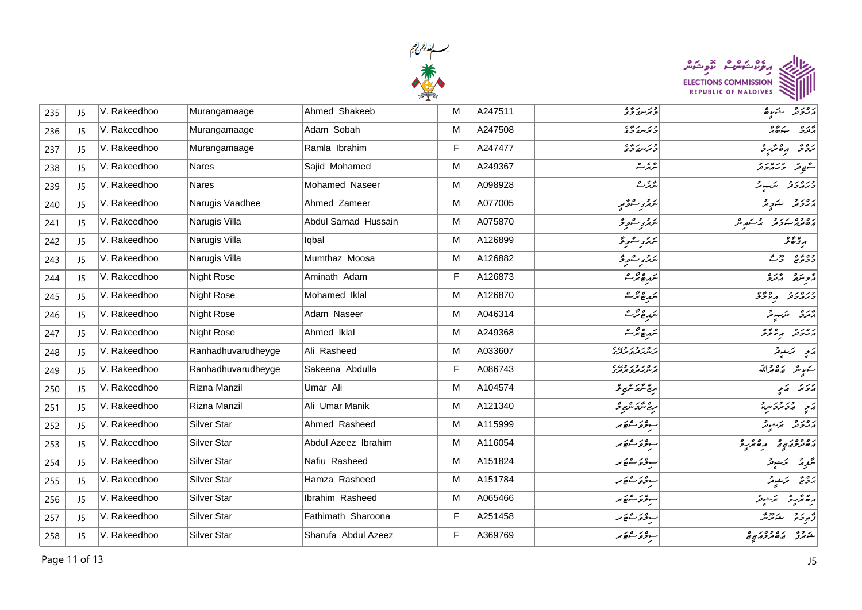



| J5<br>236<br>237<br>J5<br>238<br>J5<br>239<br>J5<br>240<br>J5<br>J5<br>241<br>242<br>J5<br>J5<br>243<br>J5<br>244<br>245<br>J5<br>246<br>J5<br>247<br>J5<br>J5<br>248 | V. Rakeedhoo<br>V. Rakeedhoo<br>V. Rakeedhoo<br>V. Rakeedhoo | Murangamaage<br>Murangamaage<br>Nares | Adam Sobah<br>Ramla Ibrahim | М  | A247508 | و ر<br>تر سرند څر د               | أدمره سنره و                            |
|-----------------------------------------------------------------------------------------------------------------------------------------------------------------------|--------------------------------------------------------------|---------------------------------------|-----------------------------|----|---------|-----------------------------------|-----------------------------------------|
|                                                                                                                                                                       |                                                              |                                       |                             |    |         |                                   |                                         |
|                                                                                                                                                                       |                                                              |                                       |                             | F  | A247477 | و بر سر و »<br>تر سر پر ژ ی       | بردؤ رەئرىر                             |
|                                                                                                                                                                       |                                                              |                                       | Sajid Mohamed               | М  | A249367 | ىترىزىشە                          | ستھومر<br>و رو ر و<br><i>د ب</i> رگرفتر |
|                                                                                                                                                                       |                                                              | <b>Nares</b>                          | Mohamed Naseer              | Μ  | A098928 | متزبر عه                          | ورەرو شهرىر                             |
|                                                                                                                                                                       | V. Rakeedhoo                                                 | Narugis Vaadhee                       | Ahmed Zameer                | М  | A077005 | ىئرىز بەشقەر                      | پروتر شوپر                              |
|                                                                                                                                                                       | V. Rakeedhoo                                                 | Narugis Villa                         | Abdul Samad Hussain         | M  | A075870 | ىئرىز <sub>ىر</sub> سىھوقە        | ره وه رر و و مهرش                       |
|                                                                                                                                                                       | V. Rakeedhoo                                                 | Narugis Villa                         | lqbal                       | М  | A126899 | ىئرىژېر تشموقە                    | برقي څر                                 |
|                                                                                                                                                                       | V. Rakeedhoo                                                 | Narugis Villa                         | Mumthaz Moosa               | М  | A126882 | ىئرىز <sub>ىر</sub> سىموقە        | وه ده دو مو                             |
|                                                                                                                                                                       | V. Rakeedhoo                                                 | Night Rose                            | Aminath Adam                | F  | A126873 | سَمهِ عَقْرَتْ ۖ                  | پر ہ<br>مرتر<br>لمجمعه يتموهم           |
|                                                                                                                                                                       | V. Rakeedhoo                                                 | Night Rose                            | Mohamed Iklal               | M  | A126870 | يئرم عوليك                        | ورورو برءوي                             |
|                                                                                                                                                                       | V. Rakeedhoo                                                 | Night Rose                            | Adam Naseer                 | Μ  | A046314 | سَرِءٍ تَرْتُ                     | پر تر سر سر سر سر                       |
|                                                                                                                                                                       | V. Rakeedhoo                                                 | Night Rose                            | Ahmed Iklal                 | Μ  | A249368 | يترم عولمته                       | پرونډ پرعڅو                             |
|                                                                                                                                                                       | V. Rakeedhoo                                                 | Ranhadhuvarudheyge                    | Ali Rasheed                 | Μ  | A033607 | ر ۵ ر ۶ ر ۶ ده<br>برس ژنره برتری  | أركمني التركيبيون                       |
| 249<br>J5                                                                                                                                                             | V. Rakeedhoo                                                 | Ranhadhuvarudheyge                    | Sakeena Abdulla             | F  | A086743 | ر ۵ ر ۶ ر ۶ و ۷<br>برمل ترو برفری | سَمَٰرٍ سَمَّرَ مَرَصْحَرْاللَّهُ       |
| J5<br>250                                                                                                                                                             | V. Rakeedhoo                                                 | Rizna Manzil                          | Umar Ali                    | М  | A104574 | ىرچ ئىر ئە ئىر ئو                 | در د په په                              |
| 251<br>J5                                                                                                                                                             | V. Rakeedhoo                                                 | Rizna Manzil                          | Ali Umar Manik              | М  | A121340 | ىرچ ئىر ئە ئىر ئو                 | پر په دروسره                            |
| 252<br>J5                                                                                                                                                             | V. Rakeedhoo                                                 | Silver Star                           | Ahmed Rasheed               | М  | A115999 | سەۋە ئەھ ئىر                      | أرور و مرشوش                            |
| 253<br>J5                                                                                                                                                             | V. Rakeedhoo                                                 | <b>Silver Star</b>                    | Abdul Azeez Ibrahim         | Μ  | A116054 | سەۋە ئەھكىر                       | גפננק בי הפיתיק                         |
| 254<br>J5                                                                                                                                                             | V. Rakeedhoo                                                 | <b>Silver Star</b>                    | Nafiu Rasheed               | М  | A151824 | سوفر ئەھ بىر                      | أشروره أسترسوس                          |
| 255<br>J5                                                                                                                                                             | V. Rakeedhoo                                                 | Silver Star                           | Hamza Rasheed               | Μ  | A151784 | سوڭرىر ھۇسر                       | پرونځ   ټرېنومر                         |
| 256<br>J5                                                                                                                                                             | V. Rakeedhoo                                                 | <b>Silver Star</b>                    | Ibrahim Rasheed             | Μ  | A065466 | سوفر ئەھ بىر                      | أرەش ئەسىسى ئىشىش                       |
| J5<br>257                                                                                                                                                             | V. Rakeedhoo                                                 | Silver Star                           | Fathimath Sharoona          | F  | A251458 | سەۋە ئەھ ئىر                      | أرموخا والمتمريش                        |
| J5<br>258                                                                                                                                                             | V. Rakeedhoo                                                 | Silver Star                           | Sharufa Abdul Azeez         | F. | A369769 | سوۇرمۇر                           | شود رەدەر ە                             |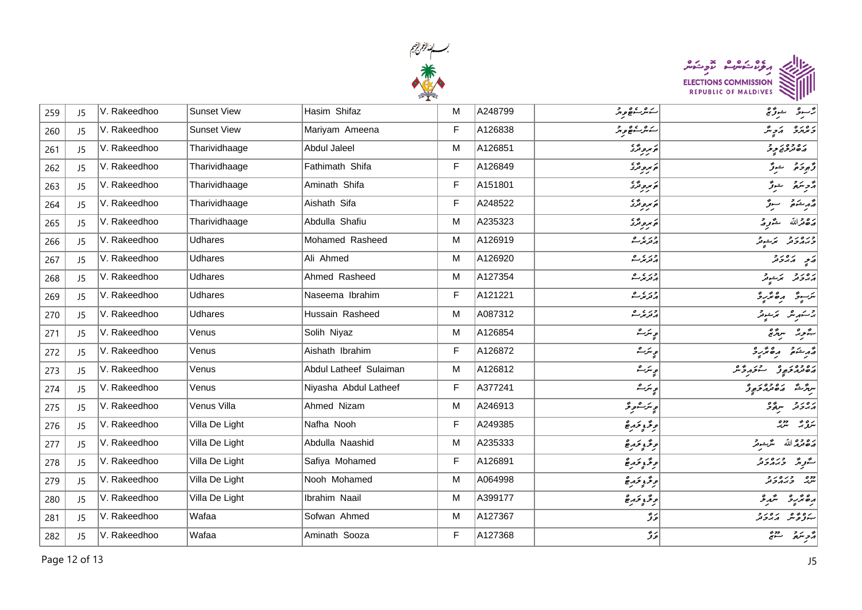



| 259 | J5 | V. Rakeedhoo | <b>Sunset View</b> | Hasim Shifaz           | м  | A248799 | ڪيرڪ <i>۾ و</i>                     | ے وگر <sup>ی</sup><br>مرکز می<br> رمسور             |
|-----|----|--------------|--------------------|------------------------|----|---------|-------------------------------------|-----------------------------------------------------|
| 260 | J5 | V. Rakeedhoo | <b>Sunset View</b> | Mariyam Ameena         | F. | A126838 | ر ۾ مه ۽ ه<br>سرسر س <u>ت</u> و پور | ر ەر ە<br>ړې پر                                     |
| 261 | J5 | V. Rakeedhoo | Tharividhaage      | Abdul Jaleel           | м  | A126851 | ئە مر <sub>ى</sub> ر قرى            | ره وه ر د<br>ره ترونج توتو                          |
| 262 | J5 | V. Rakeedhoo | Tharividhaage      | Fathimath Shifa        | F  | A126849 | ئە ئىرە قرى                         | د څو څخه<br>سندقر                                   |
| 263 | J5 | V. Rakeedhoo | Tharividhaage      | Aminath Shifa          | F  | A151801 | ئە ئىرە قرى                         | أرمز ترة<br>سندوگر                                  |
| 264 | J5 | V. Rakeedhoo | Tharividhaage      | Aishath Sifa           | F  | A248522 | اءَ مره وڙء<br>--                   | و مر ديگر د<br>مرگه مر<br>سبورٌ                     |
| 265 | J5 | V. Rakeedhoo | Tharividhaage      | Abdulla Shafiu         | M  | A235323 | <br> حوسر عرو قرى                   | رە تراللە<br>ستگور تر                               |
| 266 | J5 | V. Rakeedhoo | Udhares            | Mohamed Rasheed        | м  | A126919 | د ر ، م<br>مرتعر ک                  | و ر ه ر و<br>تر پر ژ تر<br>بمرسوقر                  |
| 267 | J5 | V. Rakeedhoo | <b>Udhares</b>     | Ali Ahmed              | м  | A126920 | د بر پر <u>م</u>                    | په پېښورو                                           |
| 268 | J5 | V. Rakeedhoo | <b>Udhares</b>     | Ahmed Rasheed          | м  | A127354 | د ر ، م<br>مرتعر ک                  | پروتر - برخوش                                       |
| 269 | J5 | V. Rakeedhoo | <b>Udhares</b>     | Naseema Ibrahim        | F  | A121221 | د ر ، م<br>مرتد بر م                | بترسوش وكالمربود                                    |
| 270 | J5 | V. Rakeedhoo | Udhares            | Hussain Rasheed        | м  | A087312 | د ري ه<br>مرتعر ڪ                   | رجم شكر مكر المراسية وتر                            |
| 271 | J5 | V. Rakeedhoo | Venus              | Solih Niyaz            | М  | A126854 | <sub>عب</sub> ِ سَرَ ٿ              | سروه<br>بدًّمزِرٌ                                   |
| 272 | J5 | V. Rakeedhoo | Venus              | Aishath Ibrahim        | F  | A126872 | <sub>حي</sub> سَر ٿ                 | ەھ ئەرىر<br>لقمر يئمقه                              |
| 273 | J5 | V. Rakeedhoo | Venus              | Abdul Latheef Sulaiman | M  | A126812 | ءٍ يئر ٿ                            | ره وه د په و<br>ش <sub>ى</sub> خ <sub>ىر</sub> جەشر |
| 274 | J5 | V. Rakeedhoo | Venus              | Niyasha Abdul Latheef  | F  | A377241 | ءٍ يئر ٿ                            | ر ه د ه ر<br>پرځمر پر ترجي<br>سرمرَّتْهُ            |
| 275 | J5 | V. Rakeedhoo | Venus Villa        | Ahmed Nizam            | М  | A246913 | ەپەئىرىشى <i>م</i> ۇ                | پروژو<br>سرۋۇ                                       |
| 276 | J5 | V. Rakeedhoo | Villa De Light     | Nafha Nooh             | F  | A249385 | <i>و څ</i> ې ځه یو                  | مترم<br>سره پژ                                      |
| 277 | J5 | V. Rakeedhoo | Villa De Light     | Abdulla Naashid        | м  | A235333 | وقحو خرمره                          | ره وه الله<br>سگرشوتر                               |
| 278 | J5 | V. Rakeedhoo | Villa De Light     | Safiya Mohamed         | F  | A126891 | وقحو خرمره                          | و رە ر د<br><i>د ب</i> ەر تەر<br>ستمويژ             |
| 279 | J5 | V. Rakeedhoo | Villa De Light     | Nooh Mohamed           | м  | A064998 | <i>و څ</i> ې ځه یو                  | ככם כנסיקים<br>ייטלי כנמכנק                         |
| 280 | J5 | V. Rakeedhoo | Villa De Light     | Ibrahim Naail          | М  | A399177 | <i>و څ</i> ې ځه یو                  | ىئەد<br>  برڇ پڙپر ٿه                               |
| 281 | J5 | V. Rakeedhoo | Wafaa              | Sofwan Ahmed           | м  | A127367 | ىرتى                                | ىبە ۋە ئەھ<br>پروژو                                 |
| 282 | J5 | V. Rakeedhoo | Wafaa              | Aminath Sooza          | F. | A127368 | ءَڙ                                 | أرجو سرقيقي المستقي                                 |